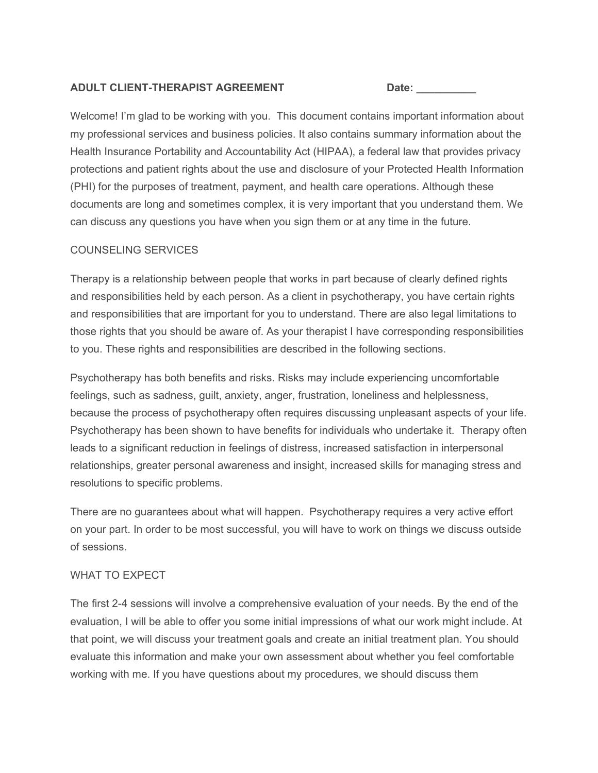### **ADULT CLIENT-THERAPIST AGREEMENT Date: \_\_\_\_\_\_\_\_\_\_**

Welcome! I'm glad to be working with you. This document contains important information about my professional services and business policies. It also contains summary information about the Health Insurance Portability and Accountability Act (HIPAA), a federal law that provides privacy protections and patient rights about the use and disclosure of your Protected Health Information (PHI) for the purposes of treatment, payment, and health care operations. Although these documents are long and sometimes complex, it is very important that you understand them. We can discuss any questions you have when you sign them or at any time in the future.

# COUNSELING SERVICES

Therapy is a relationship between people that works in part because of clearly defined rights and responsibilities held by each person. As a client in psychotherapy, you have certain rights and responsibilities that are important for you to understand. There are also legal limitations to those rights that you should be aware of. As your therapist I have corresponding responsibilities to you. These rights and responsibilities are described in the following sections.

Psychotherapy has both benefits and risks. Risks may include experiencing uncomfortable feelings, such as sadness, guilt, anxiety, anger, frustration, loneliness and helplessness, because the process of psychotherapy often requires discussing unpleasant aspects of your life. Psychotherapy has been shown to have benefits for individuals who undertake it. Therapy often leads to a significant reduction in feelings of distress, increased satisfaction in interpersonal relationships, greater personal awareness and insight, increased skills for managing stress and resolutions to specific problems.

There are no guarantees about what will happen. Psychotherapy requires a very active effort on your part. In order to be most successful, you will have to work on things we discuss outside of sessions.

# WHAT TO EXPECT

The first 2-4 sessions will involve a comprehensive evaluation of your needs. By the end of the evaluation, I will be able to offer you some initial impressions of what our work might include. At that point, we will discuss your treatment goals and create an initial treatment plan. You should evaluate this information and make your own assessment about whether you feel comfortable working with me. If you have questions about my procedures, we should discuss them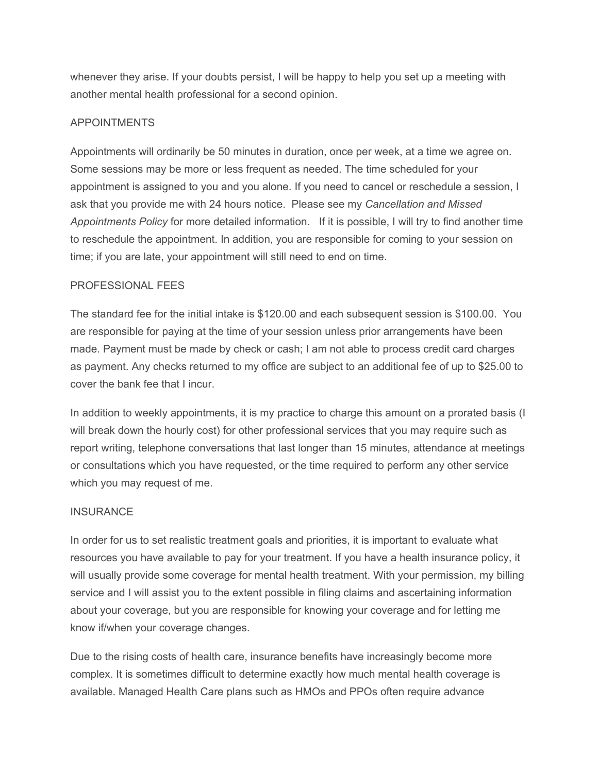whenever they arise. If your doubts persist, I will be happy to help you set up a meeting with another mental health professional for a second opinion.

## APPOINTMENTS

Appointments will ordinarily be 50 minutes in duration, once per week, at a time we agree on. Some sessions may be more or less frequent as needed. The time scheduled for your appointment is assigned to you and you alone. If you need to cancel or reschedule a session, I ask that you provide me with 24 hours notice. Please see my *Cancellation and Missed Appointments Policy* for more detailed information. If it is possible, I will try to find another time to reschedule the appointment. In addition, you are responsible for coming to your session on time; if you are late, your appointment will still need to end on time.

### PROFESSIONAL FEES

The standard fee for the initial intake is \$120.00 and each subsequent session is \$100.00. You are responsible for paying at the time of your session unless prior arrangements have been made. Payment must be made by check or cash; I am not able to process credit card charges as payment. Any checks returned to my office are subject to an additional fee of up to \$25.00 to cover the bank fee that I incur.

In addition to weekly appointments, it is my practice to charge this amount on a prorated basis (I will break down the hourly cost) for other professional services that you may require such as report writing, telephone conversations that last longer than 15 minutes, attendance at meetings or consultations which you have requested, or the time required to perform any other service which you may request of me.

### INSURANCE

In order for us to set realistic treatment goals and priorities, it is important to evaluate what resources you have available to pay for your treatment. If you have a health insurance policy, it will usually provide some coverage for mental health treatment. With your permission, my billing service and I will assist you to the extent possible in filing claims and ascertaining information about your coverage, but you are responsible for knowing your coverage and for letting me know if/when your coverage changes.

Due to the rising costs of health care, insurance benefits have increasingly become more complex. It is sometimes difficult to determine exactly how much mental health coverage is available. Managed Health Care plans such as HMOs and PPOs often require advance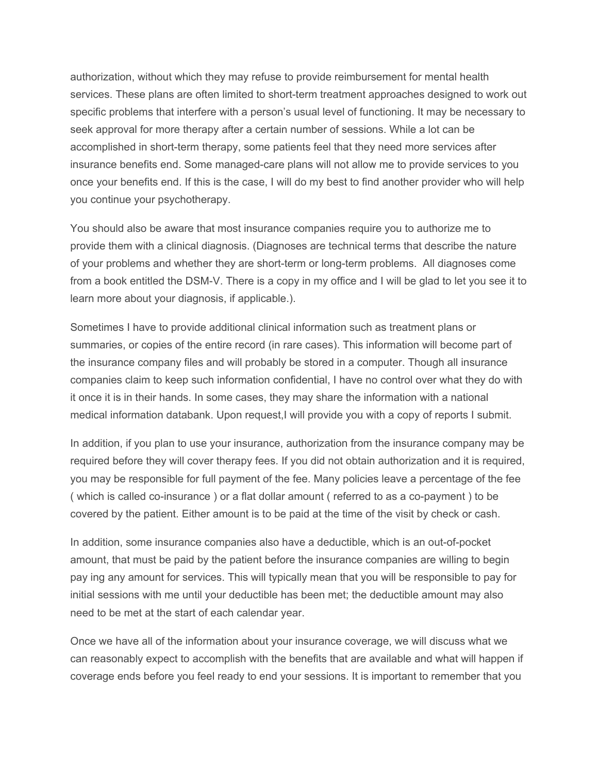authorization, without which they may refuse to provide reimbursement for mental health services. These plans are often limited to short-term treatment approaches designed to work out specific problems that interfere with a person's usual level of functioning. It may be necessary to seek approval for more therapy after a certain number of sessions. While a lot can be accomplished in short-term therapy, some patients feel that they need more services after insurance benefits end. Some managed-care plans will not allow me to provide services to you once your benefits end. If this is the case, I will do my best to find another provider who will help you continue your psychotherapy.

You should also be aware that most insurance companies require you to authorize me to provide them with a clinical diagnosis. (Diagnoses are technical terms that describe the nature of your problems and whether they are short-term or long-term problems. All diagnoses come from a book entitled the DSM-V. There is a copy in my office and I will be glad to let you see it to learn more about your diagnosis, if applicable.).

Sometimes I have to provide additional clinical information such as treatment plans or summaries, or copies of the entire record (in rare cases). This information will become part of the insurance company files and will probably be stored in a computer. Though all insurance companies claim to keep such information confidential, I have no control over what they do with it once it is in their hands. In some cases, they may share the information with a national medical information databank. Upon request,I will provide you with a copy of reports I submit.

In addition, if you plan to use your insurance, authorization from the insurance company may be required before they will cover therapy fees. If you did not obtain authorization and it is required, you may be responsible for full payment of the fee. Many policies leave a percentage of the fee ( which is called co-insurance ) or a flat dollar amount ( referred to as a co-payment ) to be covered by the patient. Either amount is to be paid at the time of the visit by check or cash.

In addition, some insurance companies also have a deductible, which is an out-of-pocket amount, that must be paid by the patient before the insurance companies are willing to begin pay ing any amount for services. This will typically mean that you will be responsible to pay for initial sessions with me until your deductible has been met; the deductible amount may also need to be met at the start of each calendar year.

Once we have all of the information about your insurance coverage, we will discuss what we can reasonably expect to accomplish with the benefits that are available and what will happen if coverage ends before you feel ready to end your sessions. It is important to remember that you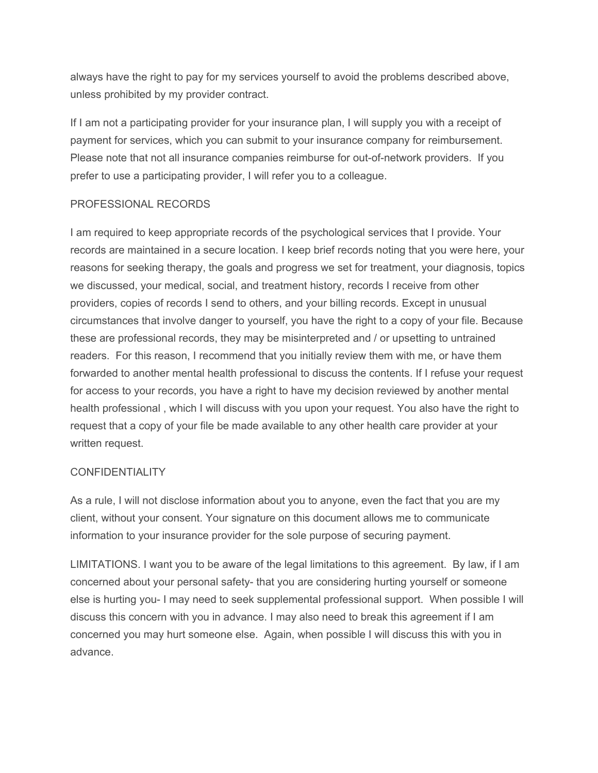always have the right to pay for my services yourself to avoid the problems described above, unless prohibited by my provider contract.

If I am not a participating provider for your insurance plan, I will supply you with a receipt of payment for services, which you can submit to your insurance company for reimbursement. Please note that not all insurance companies reimburse for out-of-network providers. If you prefer to use a participating provider, I will refer you to a colleague.

## PROFESSIONAL RECORDS

I am required to keep appropriate records of the psychological services that I provide. Your records are maintained in a secure location. I keep brief records noting that you were here, your reasons for seeking therapy, the goals and progress we set for treatment, your diagnosis, topics we discussed, your medical, social, and treatment history, records I receive from other providers, copies of records I send to others, and your billing records. Except in unusual circumstances that involve danger to yourself, you have the right to a copy of your file. Because these are professional records, they may be misinterpreted and / or upsetting to untrained readers. For this reason, I recommend that you initially review them with me, or have them forwarded to another mental health professional to discuss the contents. If I refuse your request for access to your records, you have a right to have my decision reviewed by another mental health professional , which I will discuss with you upon your request. You also have the right to request that a copy of your file be made available to any other health care provider at your written request.

### **CONFIDENTIALITY**

As a rule, I will not disclose information about you to anyone, even the fact that you are my client, without your consent. Your signature on this document allows me to communicate information to your insurance provider for the sole purpose of securing payment.

LIMITATIONS. I want you to be aware of the legal limitations to this agreement. By law, if I am concerned about your personal safety- that you are considering hurting yourself or someone else is hurting you- I may need to seek supplemental professional support. When possible I will discuss this concern with you in advance. I may also need to break this agreement if I am concerned you may hurt someone else. Again, when possible I will discuss this with you in advance.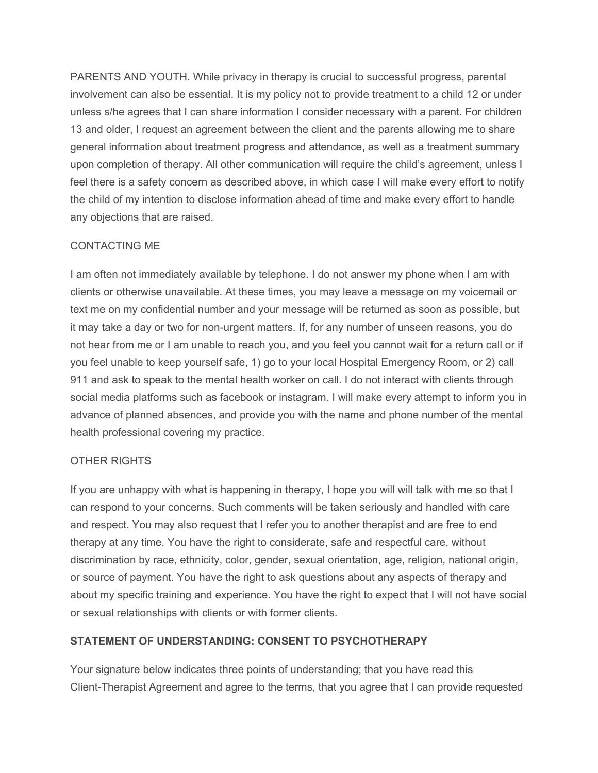PARENTS AND YOUTH. While privacy in therapy is crucial to successful progress, parental involvement can also be essential. It is my policy not to provide treatment to a child 12 or under unless s/he agrees that I can share information I consider necessary with a parent. For children 13 and older, I request an agreement between the client and the parents allowing me to share general information about treatment progress and attendance, as well as a treatment summary upon completion of therapy. All other communication will require the child's agreement, unless I feel there is a safety concern as described above, in which case I will make every effort to notify the child of my intention to disclose information ahead of time and make every effort to handle any objections that are raised.

# CONTACTING ME

I am often not immediately available by telephone. I do not answer my phone when I am with clients or otherwise unavailable. At these times, you may leave a message on my voicemail or text me on my confidential number and your message will be returned as soon as possible, but it may take a day or two for non-urgent matters. If, for any number of unseen reasons, you do not hear from me or I am unable to reach you, and you feel you cannot wait for a return call or if you feel unable to keep yourself safe, 1) go to your local Hospital Emergency Room, or 2) call 911 and ask to speak to the mental health worker on call. I do not interact with clients through social media platforms such as facebook or instagram. I will make every attempt to inform you in advance of planned absences, and provide you with the name and phone number of the mental health professional covering my practice.

### OTHER RIGHTS

If you are unhappy with what is happening in therapy, I hope you will will talk with me so that I can respond to your concerns. Such comments will be taken seriously and handled with care and respect. You may also request that I refer you to another therapist and are free to end therapy at any time. You have the right to considerate, safe and respectful care, without discrimination by race, ethnicity, color, gender, sexual orientation, age, religion, national origin, or source of payment. You have the right to ask questions about any aspects of therapy and about my specific training and experience. You have the right to expect that I will not have social or sexual relationships with clients or with former clients.

# **STATEMENT OF UNDERSTANDING: CONSENT TO PSYCHOTHERAPY**

Your signature below indicates three points of understanding; that you have read this Client-Therapist Agreement and agree to the terms, that you agree that I can provide requested